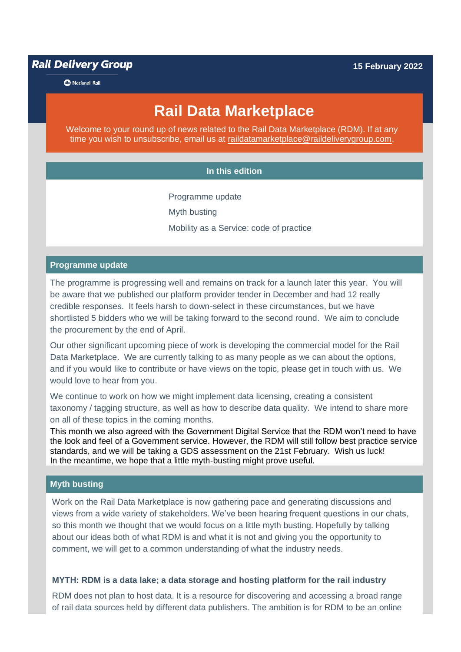# **Rail Delivery Group**

**B** National Rail

# **Rail Data Marketplace**

Welcome to your round up of news related to the Rail Data Marketplace (RDM). If at any time you wish to unsubscribe, email us at [raildatamarketplace@raildeliverygroup.com.](mailto:raildatamarketplace@raildeliverygroup.com)

#### **In this edition**

Programme update

Myth busting

Mobility as a Service: code of practice

#### **Programme update**

The programme is progressing well and remains on track for a launch later this year. You will be aware that we published our platform provider tender in December and had 12 really credible responses. It feels harsh to down-select in these circumstances, but we have shortlisted 5 bidders who we will be taking forward to the second round. We aim to conclude the procurement by the end of April.

Our other significant upcoming piece of work is developing the commercial model for the Rail Data Marketplace. We are currently talking to as many people as we can about the options, and if you would like to contribute or have views on the topic, please get in touch with us. We would love to hear from you.

We continue to work on how we might implement data licensing, creating a consistent taxonomy / tagging structure, as well as how to describe data quality. We intend to share more on all of these topics in the coming months.

This month we also agreed with the Government Digital Service that the RDM won't need to have the look and feel of a Government service. However, the RDM will still follow best practice service standards, and we will be taking a GDS assessment on the 21st February. Wish us luck! In the meantime, we hope that a little myth-busting might prove useful.

#### **Myth busting**

Work on the Rail Data Marketplace is now gathering pace and generating discussions and views from a wide variety of stakeholders. We've been hearing frequent questions in our chats, so this month we thought that we would focus on a little myth busting. Hopefully by talking about our ideas both of what RDM is and what it is not and giving you the opportunity to comment, we will get to a common understanding of what the industry needs.

#### **MYTH: RDM is a data lake; a data storage and hosting platform for the rail industry**

RDM does not plan to host data. It is a resource for discovering and accessing a broad range of rail data sources held by different data publishers. The ambition is for RDM to be an online

**15 February 2022**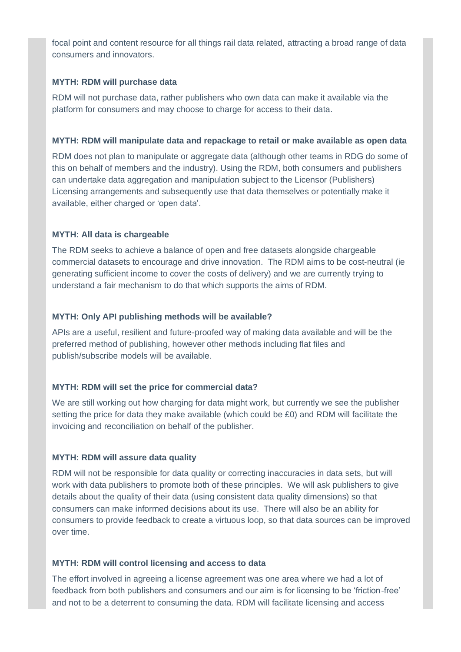focal point and content resource for all things rail data related, attracting a broad range of data consumers and innovators.

### **MYTH: RDM will purchase data**

RDM will not purchase data, rather publishers who own data can make it available via the platform for consumers and may choose to charge for access to their data.

### **MYTH: RDM will manipulate data and repackage to retail or make available as open data**

RDM does not plan to manipulate or aggregate data (although other teams in RDG do some of this on behalf of members and the industry). Using the RDM, both consumers and publishers can undertake data aggregation and manipulation subject to the Licensor (Publishers) Licensing arrangements and subsequently use that data themselves or potentially make it available, either charged or 'open data'.

# **MYTH: All data is chargeable**

The RDM seeks to achieve a balance of open and free datasets alongside chargeable commercial datasets to encourage and drive innovation. The RDM aims to be cost-neutral (ie generating sufficient income to cover the costs of delivery) and we are currently trying to understand a fair mechanism to do that which supports the aims of RDM.

## **MYTH: Only API publishing methods will be available?**

APIs are a useful, resilient and future-proofed way of making data available and will be the preferred method of publishing, however other methods including flat files and publish/subscribe models will be available.

#### **MYTH: RDM will set the price for commercial data?**

We are still working out how charging for data might work, but currently we see the publisher setting the price for data they make available (which could be £0) and RDM will facilitate the invoicing and reconciliation on behalf of the publisher.

#### **MYTH: RDM will assure data quality**

RDM will not be responsible for data quality or correcting inaccuracies in data sets, but will work with data publishers to promote both of these principles. We will ask publishers to give details about the quality of their data (using consistent data quality dimensions) so that consumers can make informed decisions about its use. There will also be an ability for consumers to provide feedback to create a virtuous loop, so that data sources can be improved over time.

#### **MYTH: RDM will control licensing and access to data**

The effort involved in agreeing a license agreement was one area where we had a lot of feedback from both publishers and consumers and our aim is for licensing to be 'friction-free' and not to be a deterrent to consuming the data. RDM will facilitate licensing and access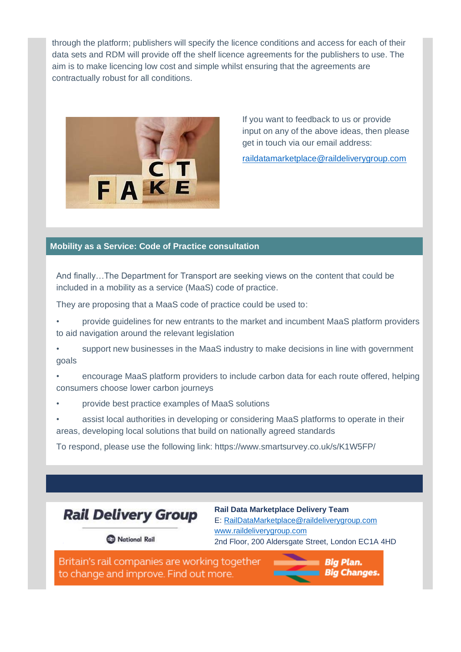through the platform; publishers will specify the licence conditions and access for each of their data sets and RDM will provide off the shelf licence agreements for the publishers to use. The aim is to make licencing low cost and simple whilst ensuring that the agreements are contractually robust for all conditions.



If you want to feedback to us or provide input on any of the above ideas, then please get in touch via our email address:

[raildatamarketplace@raildeliverygroup.com](mailto:raildatamarketplace@raildeliverygroup.com)

### **Mobility as a Service: Code of Practice consultation**

And finally…The Department for Transport are seeking views on the content that could be included in a mobility as a service (MaaS) code of practice.

They are proposing that a MaaS code of practice could be used to:

- provide guidelines for new entrants to the market and incumbent MaaS platform providers to aid navigation around the relevant legislation
- support new businesses in the MaaS industry to make decisions in line with government goals
- encourage MaaS platform providers to include carbon data for each route offered, helping consumers choose lower carbon journeys
- provide best practice examples of MaaS solutions
- assist local authorities in developing or considering MaaS platforms to operate in their areas, developing local solutions that build on nationally agreed standards

To respond, please use the following link: https://www.smartsurvey.co.uk/s/K1W5FP/



**Rail Data Marketplace Delivery Team** E: [RailDataMarketplace@raildeliverygroup.com](mailto:RailDataMarketplace@raildeliverygroup.com) [www.raildeliverygroup.com](http://www.raildeliverygroup.com/) 2nd Floor, 200 Aldersgate Street, London EC1A 4HD

A National Rail

Britain's rail companies are working together to change and improve. Find out more.